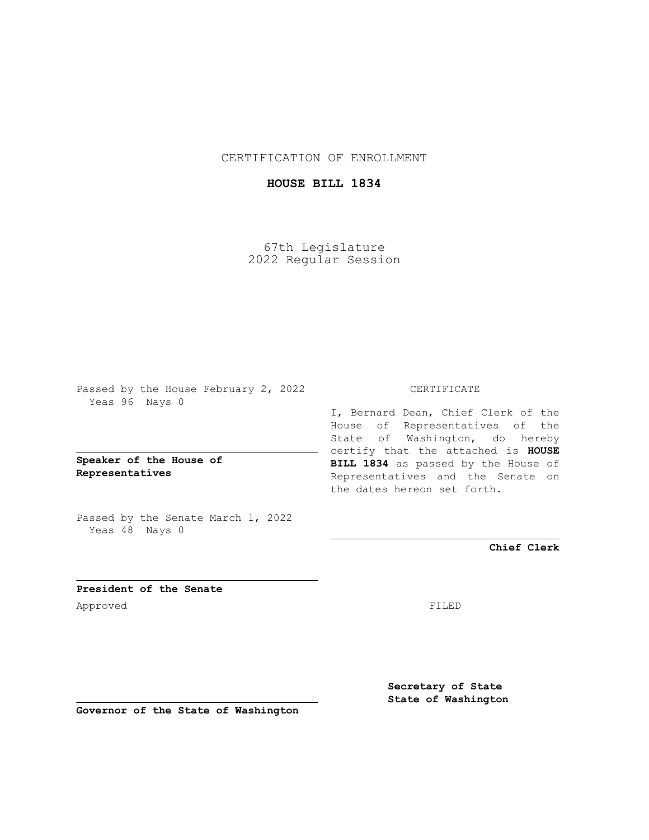CERTIFICATION OF ENROLLMENT

## **HOUSE BILL 1834**

67th Legislature 2022 Regular Session

Passed by the House February 2, 2022 Yeas 96 Nays 0

**Speaker of the House of Representatives**

Passed by the Senate March 1, 2022 Yeas 48 Nays 0

## CERTIFICATE

I, Bernard Dean, Chief Clerk of the House of Representatives of the State of Washington, do hereby certify that the attached is **HOUSE BILL 1834** as passed by the House of Representatives and the Senate on the dates hereon set forth.

**Chief Clerk**

**President of the Senate** Approved FILED

**Secretary of State State of Washington**

**Governor of the State of Washington**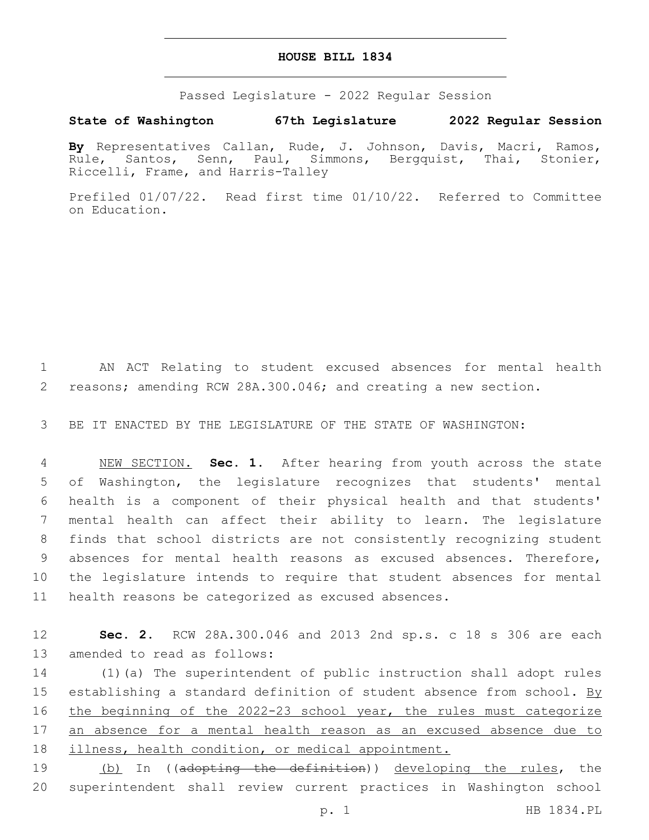## **HOUSE BILL 1834**

Passed Legislature - 2022 Regular Session

## **State of Washington 67th Legislature 2022 Regular Session**

**By** Representatives Callan, Rude, J. Johnson, Davis, Macri, Ramos, Rule, Santos, Senn, Paul, Simmons, Bergquist, Thai, Stonier, Riccelli, Frame, and Harris-Talley

Prefiled 01/07/22. Read first time 01/10/22. Referred to Committee on Education.

1 AN ACT Relating to student excused absences for mental health 2 reasons; amending RCW 28A.300.046; and creating a new section.

3 BE IT ENACTED BY THE LEGISLATURE OF THE STATE OF WASHINGTON:

 NEW SECTION. **Sec. 1.** After hearing from youth across the state of Washington, the legislature recognizes that students' mental health is a component of their physical health and that students' mental health can affect their ability to learn. The legislature finds that school districts are not consistently recognizing student absences for mental health reasons as excused absences. Therefore, the legislature intends to require that student absences for mental health reasons be categorized as excused absences.

12 **Sec. 2.** RCW 28A.300.046 and 2013 2nd sp.s. c 18 s 306 are each 13 amended to read as follows:

14 (1)(a) The superintendent of public instruction shall adopt rules 15 establishing a standard definition of student absence from school. By 16 the beginning of the 2022-23 school year, the rules must categorize 17 an absence for a mental health reason as an excused absence due to 18 illness, health condition, or medical appointment.

19 (b) In ((adopting the definition)) developing the rules, the 20 superintendent shall review current practices in Washington school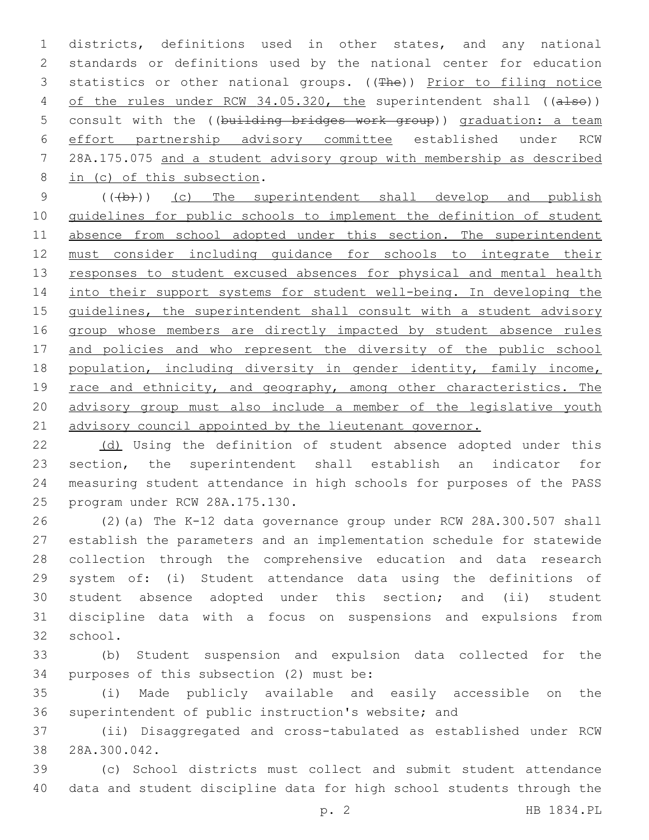1 districts, definitions used in other states, and any national 2 standards or definitions used by the national center for education 3 statistics or other national groups. ((The)) Prior to filing notice 4 of the rules under RCW 34.05.320, the superintendent shall ((also)) 5 consult with the ((building bridges work group)) graduation: a team 6 effort partnership advisory committee established under RCW 7 28A.175.075 and a student advisory group with membership as described 8 in (c) of this subsection.

9 (((b))) (c) The superintendent shall develop and publish 10 guidelines for public schools to implement the definition of student 11 absence from school adopted under this section. The superintendent 12 must consider including guidance for schools to integrate their 13 responses to student excused absences for physical and mental health 14 into their support systems for student well-being. In developing the 15 guidelines, the superintendent shall consult with a student advisory 16 group whose members are directly impacted by student absence rules 17 and policies and who represent the diversity of the public school 18 population, including diversity in gender identity, family income, 19 race and ethnicity, and geography, among other characteristics. The 20 advisory group must also include a member of the legislative youth 21 advisory council appointed by the lieutenant governor.

 (d) Using the definition of student absence adopted under this section, the superintendent shall establish an indicator for measuring student attendance in high schools for purposes of the PASS 25 program under RCW 28A.175.130.

 (2)(a) The K-12 data governance group under RCW 28A.300.507 shall establish the parameters and an implementation schedule for statewide collection through the comprehensive education and data research system of: (i) Student attendance data using the definitions of student absence adopted under this section; and (ii) student discipline data with a focus on suspensions and expulsions from 32 school.

33 (b) Student suspension and expulsion data collected for the 34 purposes of this subsection (2) must be:

35 (i) Made publicly available and easily accessible on the 36 superintendent of public instruction's website; and

37 (ii) Disaggregated and cross-tabulated as established under RCW 38 28A.300.042.

39 (c) School districts must collect and submit student attendance 40 data and student discipline data for high school students through the

p. 2 HB 1834.PL